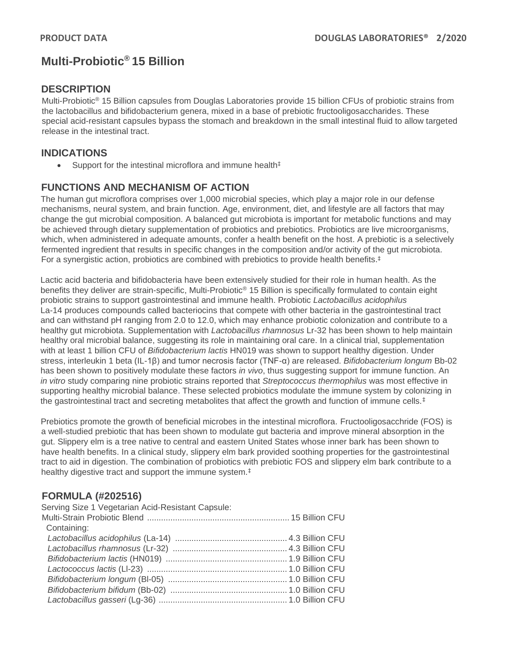# **Multi-Probiotic® 15 Billion**

## **DESCRIPTION**

Multi-Probiotic® 15 Billion capsules from Douglas Laboratories provide 15 billion CFUs of probiotic strains from the lactobacillus and bifidobacterium genera, mixed in a base of prebiotic fructooligosaccharides. These special acid-resistant capsules bypass the stomach and breakdown in the small intestinal fluid to allow targeted release in the intestinal tract.

## **INDICATIONS**

• Support for the intestinal microflora and immune health<sup>‡</sup>

# **FUNCTIONS AND MECHANISM OF ACTION**

The human gut microflora comprises over 1,000 microbial species, which play a major role in our defense mechanisms, neural system, and brain function. Age, environment, diet, and lifestyle are all factors that may change the gut microbial composition. A balanced gut microbiota is important for metabolic functions and may be achieved through dietary supplementation of probiotics and prebiotics. Probiotics are live microorganisms, which, when administered in adequate amounts, confer a health benefit on the host. A prebiotic is a selectively fermented ingredient that results in specific changes in the composition and/or activity of the gut microbiota. For a synergistic action, probiotics are combined with prebiotics to provide health benefits. ‡

Lactic acid bacteria and bifidobacteria have been extensively studied for their role in human health. As the benefits they deliver are strain-specific, Multi-Probiotic® 15 Billion is specifically formulated to contain eight probiotic strains to support gastrointestinal and immune health. Probiotic *Lactobacillus acidophilus*  La-14 produces compounds called bacteriocins that compete with other bacteria in the gastrointestinal tract and can withstand pH ranging from 2.0 to 12.0, which may enhance probiotic colonization and contribute to a healthy gut microbiota. Supplementation with *Lactobacillus rhamnosus* Lr-32 has been shown to help maintain healthy oral microbial balance, suggesting its role in maintaining oral care. In a clinical trial, supplementation with at least 1 billion CFU of *Bifidobacterium lactis* HN019 was shown to support healthy digestion. Under stress, interleukin 1 beta (IL-1β) and tumor necrosis factor (TNF-α) are released. *Bifidobacterium longum* Bb-02 has been shown to positively modulate these factors *in vivo*, thus suggesting support for immune function. An *in vitro* study comparing nine probiotic strains reported that *Streptococcus thermophilus* was most effective in supporting healthy microbial balance. These selected probiotics modulate the immune system by colonizing in the gastrointestinal tract and secreting metabolites that affect the growth and function of immune cells.<sup>‡</sup>

Prebiotics promote the growth of beneficial microbes in the intestinal microflora. Fructooligosacchride (FOS) is a well-studied prebiotic that has been shown to modulate gut bacteria and improve mineral absorption in the gut. Slippery elm is a tree native to central and eastern United States whose inner bark has been shown to have health benefits. In a clinical study, slippery elm bark provided soothing properties for the gastrointestinal tract to aid in digestion. The combination of probiotics with prebiotic FOS and slippery elm bark contribute to a healthy digestive tract and support the immune system.<sup>‡</sup>

# **FORMULA (#202516)**

Serving Size 1 Vegetarian Acid-Resistant Capsule:

| Containing: |  |
|-------------|--|
|             |  |
|             |  |
|             |  |
|             |  |
|             |  |
|             |  |
|             |  |
|             |  |